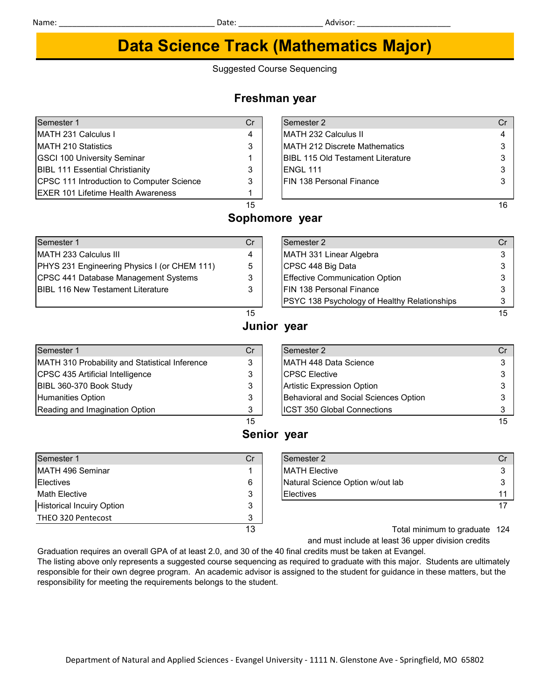# **Data Science Track (Mathematics Major)**

Suggested Course Sequencing

## **Freshman year**

### Semester 1 Cr Semester 2 Cr MATH 231 Calculus I 4 MATH 232 Calculus II 4 MATH 210 Statistics **3** MATH 212 Discrete Mathematics 3 3 GSCI 100 University Seminar 1 All BIBL 115 Old Testament Literature 3 BIBL 111 Essential Christianity 3 ENGL 111 3 CPSC 111 Introduction to Computer Science  $\begin{array}{c|c} 3 & | & |F| \text{N} 138 \text{ Personal Finance} \end{array}$  Finance 3 EXER 101 Lifetime Health Awareness 1  $15$  and  $16$ **Sophomore year**

## MATH 233 Calculus III 4 MATH 332 Linear Algebra 34 PHYS 231 Engineering Physics I (or CHEM 111) 5 CPSC 441 Database Management Systems 3 BIBL 116 New Testament Literature 3

| Semester 1                                   | Cr | Semester 2                                   |    |
|----------------------------------------------|----|----------------------------------------------|----|
| MATH 233 Calculus III                        | 4  | MATH 331 Linear Algebra                      |    |
| PHYS 231 Engineering Physics I (or CHEM 111) | 5  | CPSC 448 Big Data                            |    |
| CPSC 441 Database Management Systems         | 3  | <b>Effective Communication Option</b>        |    |
| BIBL 116 New Testament Literature            |    | <b>IFIN 138 Personal Finance</b>             |    |
|                                              |    | PSYC 138 Psychology of Healthy Relationships |    |
|                                              | 15 |                                              | 15 |

| Semester 1                                     |  |
|------------------------------------------------|--|
| MATH 310 Probability and Statistical Inference |  |
| CPSC 435 Artificial Intelligence               |  |
| BIBL 360-370 Book Study                        |  |
| <b>Humanities Option</b>                       |  |
| Reading and Imagination Option                 |  |

| Semester 1                                     | Cr | Semester 2                            | Cr            |
|------------------------------------------------|----|---------------------------------------|---------------|
| MATH 310 Probability and Statistical Inference | 3  | MATH 448 Data Science                 | $\mathcal{B}$ |
| CPSC 435 Artificial Intelligence               | 3  | <b>ICPSC Elective</b>                 | $\mathcal{B}$ |
| BIBL 360-370 Book Study                        | 3  | Artistic Expression Option            |               |
| Humanities Option                              | 3  | Behavioral and Social Sciences Option |               |
| Reading and Imagination Option                 | 3  | <b>IICST 350 Global Connections</b>   |               |
|                                                | 15 |                                       | 15            |

## **Senior year**

**Junior year**

| Semester 1                       | Cr         | Semester 2                       | Cr                             |
|----------------------------------|------------|----------------------------------|--------------------------------|
| MATH 496 Seminar                 |            | <b>IMATH Elective</b>            | 3                              |
| <b>Electives</b>                 | 6          | Natural Science Option w/out lab | 3                              |
| Math Elective                    | 3          | <b>IElectives</b>                | 11                             |
| <b>Historical Incuiry Option</b> | 3          |                                  | 17                             |
| THEO 320 Pentecost               | 3          |                                  |                                |
|                                  | $\sqrt{2}$ |                                  | — <u>— — — — — — — — — — —</u> |

| Semester 1                 | Cr | Semester 2                       |  |
|----------------------------|----|----------------------------------|--|
| MATH 496 Seminar           |    | <b>IMATH Elective</b>            |  |
| Electives                  |    | Natural Science Option w/out lab |  |
| Math Elective              |    | <b>Electives</b>                 |  |
| Historical Incuiry Option. |    |                                  |  |

13 Total minimum to graduate 124

and must include at least 36 upper division credits

Graduation requires an overall GPA of at least 2.0, and 30 of the 40 final credits must be taken at Evangel. The listing above only represents a suggested course sequencing as required to graduate with this major. Students are ultimately responsible for their own degree program. An academic advisor is assigned to the student for guidance in these matters, but the responsibility for meeting the requirements belongs to the student.